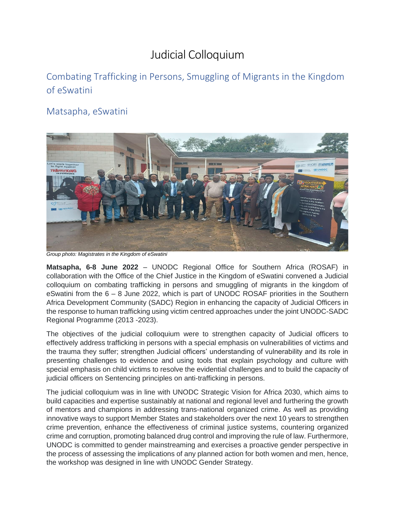## Judicial Colloquium

## Combating Trafficking in Persons, Smuggling of Migrants in the Kingdom of eSwatini

## Matsapha, eSwatini



*Group photo: Magistrates in the Kingdom of eSwatini*

**Matsapha, 6-8 June 2022** – UNODC Regional Office for Southern Africa (ROSAF) in collaboration with the Office of the Chief Justice in the Kingdom of eSwatini convened a Judicial colloquium on combating trafficking in persons and smuggling of migrants in the kingdom of eSwatini from the 6 – 8 June 2022, which is part of UNODC ROSAF priorities in the Southern Africa Development Community (SADC) Region in enhancing the capacity of Judicial Officers in the response to human trafficking using victim centred approaches under the joint UNODC-SADC Regional Programme (2013 -2023).

The objectives of the judicial colloquium were to strengthen capacity of Judicial officers to effectively address trafficking in persons with a special emphasis on vulnerabilities of victims and the trauma they suffer; strengthen Judicial officers' understanding of vulnerability and its role in presenting challenges to evidence and using tools that explain psychology and culture with special emphasis on child victims to resolve the evidential challenges and to build the capacity of judicial officers on Sentencing principles on anti-trafficking in persons.

The judicial colloquium was in line with UNODC Strategic Vision for Africa 2030, which aims to build capacities and expertise sustainably at national and regional level and furthering the growth of mentors and champions in addressing trans-national organized crime. As well as providing innovative ways to support Member States and stakeholders over the next 10 years to strengthen crime prevention, enhance the effectiveness of criminal justice systems, countering organized crime and corruption, promoting balanced drug control and improving the rule of law. Furthermore, UNODC is committed to gender mainstreaming and exercises a proactive gender perspective in the process of assessing the implications of any planned action for both women and men, hence, the workshop was designed in line with UNODC Gender Strategy.